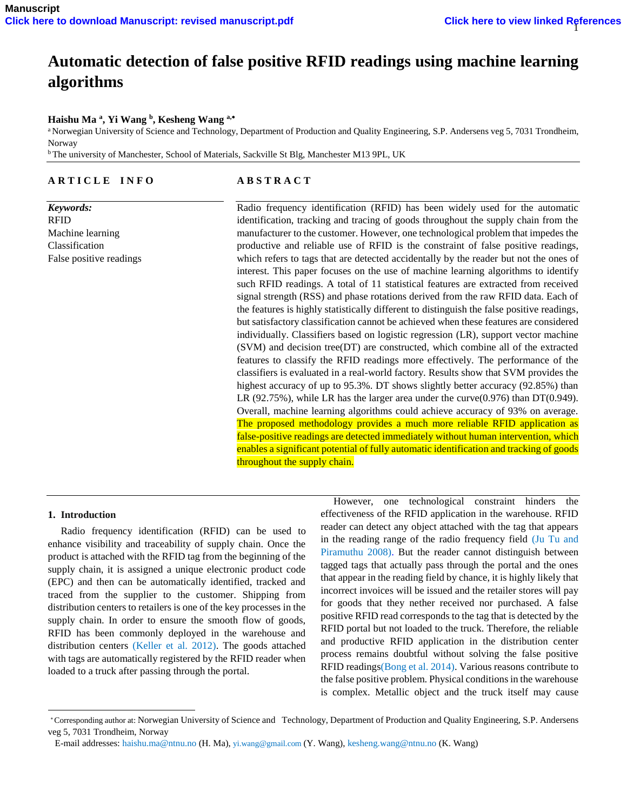# **Automatic detection of false positive RFID readings using machine learning algorithms**

## **Haishu Ma <sup>a</sup> , Yi Wang <sup>b</sup> , Kesheng Wang a,**

<sup>a</sup> Norwegian University of Science and Technology, Department of Production and Quality Engineering, S.P. Andersens veg 5, 7031 Trondheim, Norway

<sup>b</sup>The university of Manchester, School of Materials, Sackville St Blg, Manchester M13 9PL, UK

# **A R T I C L E I N F O**

*Keywords:* RFID Machine learning Classification False positive readings

## **A B S T R A C T**

Radio frequency identification (RFID) has been widely used for the automatic identification, tracking and tracing of goods throughout the supply chain from the manufacturer to the customer. However, one technological problem that impedes the productive and reliable use of RFID is the constraint of false positive readings, which refers to tags that are detected accidentally by the reader but not the ones of interest. This paper focuses on the use of machine learning algorithms to identify such RFID readings. A total of 11 statistical features are extracted from received signal strength (RSS) and phase rotations derived from the raw RFID data. Each of the features is highly statistically different to distinguish the false positive readings, but satisfactory classification cannot be achieved when these features are considered individually. Classifiers based on logistic regression (LR), support vector machine (SVM) and decision tree(DT) are constructed, which combine all of the extracted features to classify the RFID readings more effectively. The performance of the classifiers is evaluated in a real-world factory. Results show that SVM provides the highest accuracy of up to 95.3%. DT shows slightly better accuracy (92.85%) than LR (92.75%), while LR has the larger area under the curve(0.976) than  $DT(0.949)$ . Overall, machine learning algorithms could achieve accuracy of 93% on average. The proposed methodology provides a much more reliable RFID application as false-positive readings are detected immediately without human intervention, which enables a significant potential of fully automatic identification and tracking of goods throughout the supply chain.

## **1. Introduction**

l

 Radio frequency identification (RFID) can be used to enhance visibility and traceability of supply chain. Once the product is attached with the RFID tag from the beginning of the supply chain, it is assigned a unique electronic product code (EPC) and then can be automatically identified, tracked and traced from the supplier to the customer. Shipping from distribution centers to retailers is one of the key processes in the supply chain. In order to ensure the smooth flow of goods, RFID has been commonly deployed in the warehouse and distribution centers (Keller et al. 2012). The goods attached with tags are automatically registered by the RFID reader when loaded to a truck after passing through the portal.

 However, one technological constraint hinders the effectiveness of the RFID application in the warehouse. RFID reader can detect any object attached with the tag that appears in the reading range of the radio frequency field (Ju Tu and Piramuthu 2008). But the reader cannot distinguish between tagged tags that actually pass through the portal and the ones that appear in the reading field by chance, it is highly likely that incorrect invoices will be issued and the retailer stores will pay for goods that they nether received nor purchased. A false positive RFID read corresponds to the tag that is detected by the RFID portal but not loaded to the truck. Therefore, the reliable and productive RFID application in the distribution center process remains doubtful without solving the false positive RFID readings(Bong et al. 2014). Various reasons contribute to the false positive problem. Physical conditions in the warehouse is complex. Metallic object and the truck itself may cause

Corresponding author at: Norwegian University of Science and Technology, Department of Production and Quality Engineering, S.P. Andersens veg 5, 7031 Trondheim, Norway

E-mail addresses[: haishu.ma@ntnu.no](mailto:haishu.ma@ntnu.no) (H. Ma), [yi.wang@gmail.com](mailto:yi.wang@gmail.com) (Y. Wang)[, kesheng.wang@ntnu.no](mailto:kesheng.wang@ntnu.no) (K. Wang)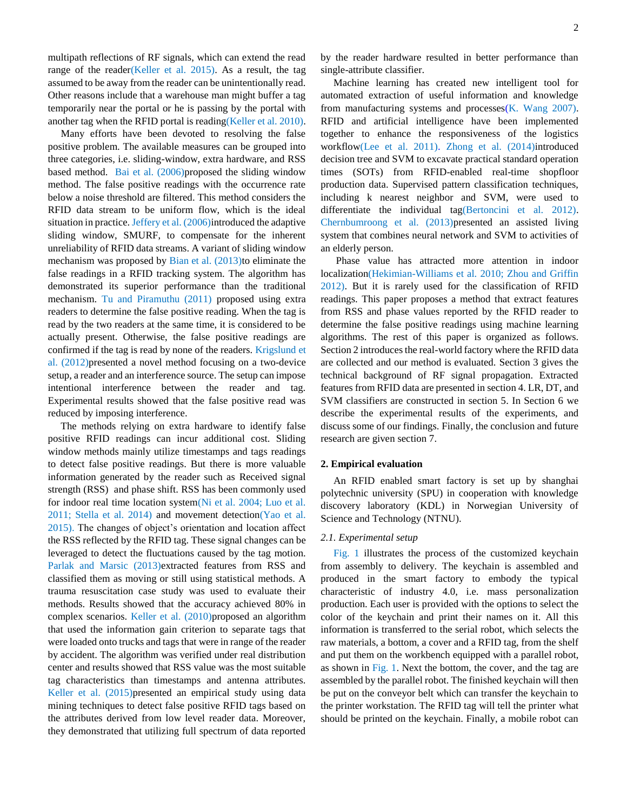multipath reflections of RF signals, which can extend the read range of the reader(Keller et al. 2015). As a result, the tag assumed to be away from the reader can be unintentionally read. Other reasons include that a warehouse man might buffer a tag temporarily near the portal or he is passing by the portal with another tag when the RFID portal is reading(Keller et al. 2010).

 Many efforts have been devoted to resolving the false positive problem. The available measures can be grouped into three categories, i.e. sliding-window, extra hardware, and RSS based method. Bai et al. (2006)proposed the sliding window method. The false positive readings with the occurrence rate below a noise threshold are filtered. This method considers the RFID data stream to be uniform flow, which is the ideal situation in practice. Jeffery et al. (2006)introduced the adaptive sliding window, SMURF, to compensate for the inherent unreliability of RFID data streams. A variant of sliding window mechanism was proposed by Bian et al.  $(2013)$ to eliminate the false readings in a RFID tracking system. The algorithm has demonstrated its superior performance than the traditional mechanism. Tu and Piramuthu (2011) proposed using extra readers to determine the false positive reading. When the tag is read by the two readers at the same time, it is considered to be actually present. Otherwise, the false positive readings are confirmed if the tag is read by none of the readers. Krigslund et al. (2012)presented a novel method focusing on a two-device setup, a reader and an interference source. The setup can impose intentional interference between the reader and tag. Experimental results showed that the false positive read was reduced by imposing interference.

 The methods relying on extra hardware to identify false positive RFID readings can incur additional cost. Sliding window methods mainly utilize timestamps and tags readings to detect false positive readings. But there is more valuable information generated by the reader such as Received signal strength (RSS) and phase shift. RSS has been commonly used for indoor real time location system(Ni et al. 2004; Luo et al. 2011; Stella et al. 2014) and movement detection(Yao et al. 2015). The changes of object's orientation and location affect the RSS reflected by the RFID tag. These signal changes can be leveraged to detect the fluctuations caused by the tag motion. Parlak and Marsic (2013)extracted features from RSS and classified them as moving or still using statistical methods. A trauma resuscitation case study was used to evaluate their methods. Results showed that the accuracy achieved 80% in complex scenarios. Keller et al. (2010)proposed an algorithm that used the information gain criterion to separate tags that were loaded onto trucks and tags that were in range of the reader by accident. The algorithm was verified under real distribution center and results showed that RSS value was the most suitable tag characteristics than timestamps and antenna attributes. Keller et al. (2015)presented an empirical study using data mining techniques to detect false positive RFID tags based on the attributes derived from low level reader data. Moreover, they demonstrated that utilizing full spectrum of data reported

by the reader hardware resulted in better performance than single-attribute classifier.

 Machine learning has created new intelligent tool for automated extraction of useful information and knowledge from manufacturing systems and processes $(K.$  Wang 2007). RFID and artificial intelligence have been implemented together to enhance the responsiveness of the logistics workflow(Lee et al. 2011). Zhong et al. (2014)introduced decision tree and SVM to excavate practical standard operation times (SOTs) from RFID-enabled real-time shopfloor production data. Supervised pattern classification techniques, including k nearest neighbor and SVM, were used to differentiate the individual tag(Bertoncini et al. 2012). Chernbumroong et al. (2013)presented an assisted living system that combines neural network and SVM to activities of an elderly person.

 Phase value has attracted more attention in indoor localization(Hekimian-Williams et al. 2010; Zhou and Griffin 2012). But it is rarely used for the classification of RFID readings. This paper proposes a method that extract features from RSS and phase values reported by the RFID reader to determine the false positive readings using machine learning algorithms. The rest of this paper is organized as follows. Section 2 introduces the real-world factory where the RFID data are collected and our method is evaluated. Section 3 gives the technical background of RF signal propagation. Extracted features from RFID data are presented in section 4. LR, DT, and SVM classifiers are constructed in section 5. In Section 6 we describe the experimental results of the experiments, and discuss some of our findings. Finally, the conclusion and future research are given section 7.

#### **2. Empirical evaluation**

 An RFID enabled smart factory is set up by shanghai polytechnic university (SPU) in cooperation with knowledge discovery laboratory (KDL) in Norwegian University of Science and Technology (NTNU).

#### *2.1. Experimental setup*

 Fig. 1 illustrates the process of the customized keychain from assembly to delivery. The keychain is assembled and produced in the smart factory to embody the typical characteristic of industry 4.0, i.e. mass personalization production. Each user is provided with the options to select the color of the keychain and print their names on it. All this information is transferred to the serial robot, which selects the raw materials, a bottom, a cover and a RFID tag, from the shelf and put them on the workbench equipped with a parallel robot, as shown in Fig. 1. Next the bottom, the cover, and the tag are assembled by the parallel robot. The finished keychain will then be put on the conveyor belt which can transfer the keychain to the printer workstation. The RFID tag will tell the printer what should be printed on the keychain. Finally, a mobile robot can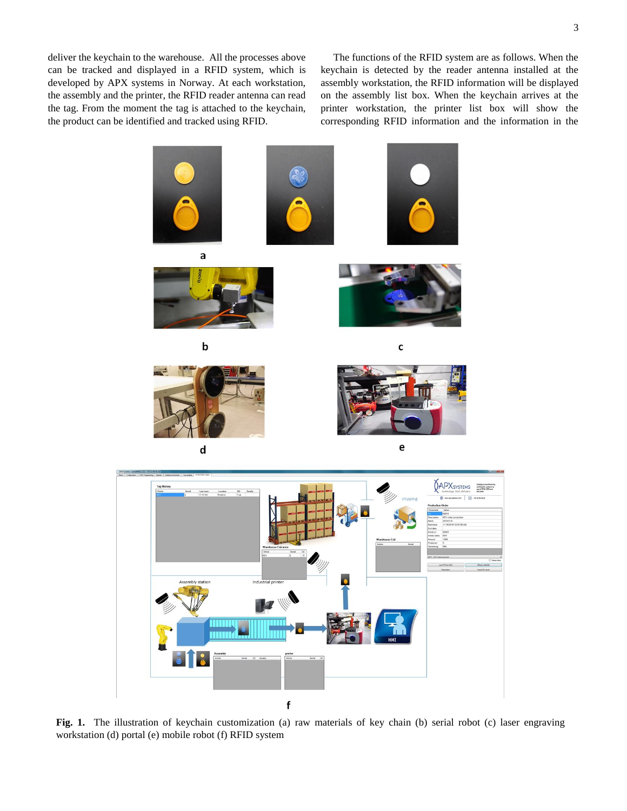deliver the keychain to the warehouse. All the processes above can be tracked and displayed in a RFID system, which is developed by APX systems in Norway. At each workstation, the assembly and the printer, the RFID reader antenna can read the tag. From the moment the tag is attached to the keychain, the product can be identified and tracked using RFID.

 The functions of the RFID system are as follows. When the keychain is detected by the reader antenna installed at the assembly workstation, the RFID information will be displayed on the assembly list box. When the keychain arrives at the printer workstation, the printer list box will show the corresponding RFID information and the information in the



**Fig. 1.** The illustration of keychain customization (a) raw materials of key chain (b) serial robot (c) laser engraving workstation (d) portal (e) mobile robot (f) RFID system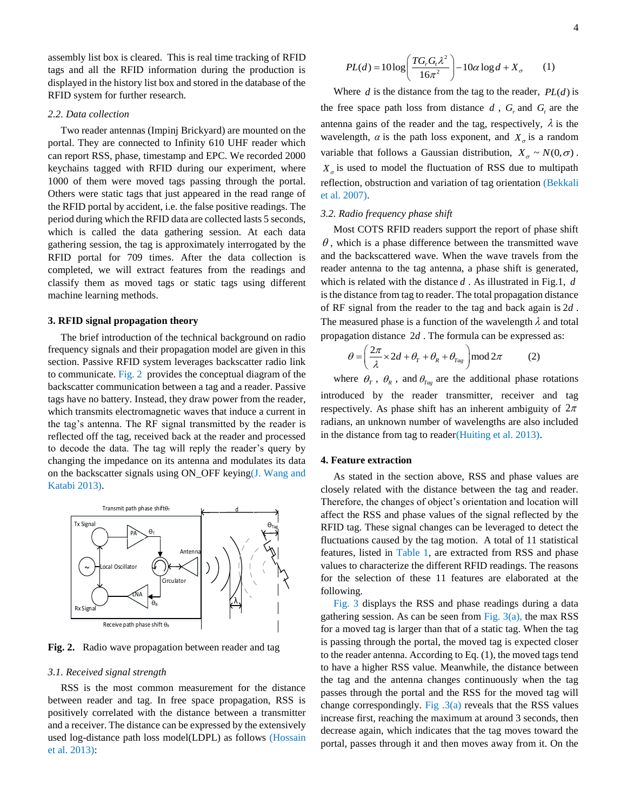assembly list box is cleared. This is real time tracking of RFID tags and all the RFID information during the production is displayed in the history list box and stored in the database of the RFID system for further research.

#### *2.2. Data collection*

 Two reader antennas (Impinj Brickyard) are mounted on the portal. They are connected to Infinity 610 UHF reader which can report RSS, phase, timestamp and EPC. We recorded 2000 keychains tagged with RFID during our experiment, where 1000 of them were moved tags passing through the portal. Others were static tags that just appeared in the read range of the RFID portal by accident, i.e. the false positive readings. The period during which the RFID data are collected lasts 5 seconds, which is called the data gathering session. At each data gathering session, the tag is approximately interrogated by the RFID portal for 709 times. After the data collection is completed, we will extract features from the readings and classify them as moved tags or static tags using different machine learning methods.

#### **3. RFID signal propagation theory**

 The brief introduction of the technical background on radio frequency signals and their propagation model are given in this section. Passive RFID system leverages backscatter radio link to communicate. Fig. 2 provides the conceptual diagram of the backscatter communication between a tag and a reader. Passive tags have no battery. Instead, they draw power from the reader, which transmits electromagnetic waves that induce a current in the tag's antenna. The RF signal transmitted by the reader is reflected off the tag, received back at the reader and processed to decode the data. The tag will reply the reader's query by changing the impedance on its antenna and modulates its data on the backscatter signals using ON\_OFF keying(J. Wang and Katabi 2013).



**Fig. 2.** Radio wave propagation between reader and tag

#### *3.1. Received signal strength*

 RSS is the most common measurement for the distance between reader and tag. In free space propagation, RSS is positively correlated with the distance between a transmitter and a receiver. The distance can be expressed by the extensively used log-distance path loss model(LDPL) as follows (Hossain et al. 2013):

$$
PL(d) = 10 \log \left( \frac{T G_r G_r \lambda^2}{16\pi^2} \right) - 10\alpha \log d + X_\sigma \qquad (1)
$$

Where  $d$  is the distance from the tag to the reader,  $PL(d)$  is the free space path loss from distance  $d$ ,  $G_r$  and  $G_t$  are the antenna gains of the reader and the tag, respectively,  $\lambda$  is the wavelength,  $\alpha$  is the path loss exponent, and  $X_{\sigma}$  is a random variable that follows a Gaussian distribution,  $X_{\sigma} \sim N(0, \sigma)$ .  $X_{\sigma}$  is used to model the fluctuation of RSS due to multipath reflection, obstruction and variation of tag orientation (Bekkali et al. 2007).

### *3.2. Radio frequency phase shift*

 Most COTS RFID readers support the report of phase shift  $\theta$ , which is a phase difference between the transmitted wave and the backscattered wave. When the wave travels from the reader antenna to the tag antenna, a phase shift is generated, which is related with the distance *d* . As illustrated in Fig.1, *d* is the distance from tag to reader. The total propagation distance of RF signal from the reader to the tag and back again is 2*d* . The measured phase is a function of the wavelength  $\lambda$  and total propagation distance 2*d*. The formula can be expressed as:<br>  $A = \left(\frac{2\pi}{3} \times 2d + \theta + \theta + \theta\right) \mod 2\pi$  (2)

$$
\theta = \left(\frac{2\pi}{\lambda} \times 2d + \theta_r + \theta_{\text{Re}} + \theta_{\text{Tag}}\right) \text{mod} \, 2\pi \tag{2}
$$

where  $\theta_{T}$ ,  $\theta_{R}$ , and  $\theta_{Tag}$  are the additional phase rotations introduced by the reader transmitter, receiver and tag respectively. As phase shift has an inherent ambiguity of  $2\pi$ radians, an unknown number of wavelengths are also included in the distance from tag to reader(Huiting et al. 2013).

#### **4. Feature extraction**

 As stated in the section above, RSS and phase values are closely related with the distance between the tag and reader. Therefore, the changes of object's orientation and location will affect the RSS and phase values of the signal reflected by the RFID tag. These signal changes can be leveraged to detect the fluctuations caused by the tag motion. A total of 11 statistical features, listed in Table 1, are extracted from RSS and phase values to characterize the different RFID readings. The reasons for the selection of these 11 features are elaborated at the following.

 Fig. 3 displays the RSS and phase readings during a data gathering session. As can be seen from Fig.  $3(a)$ , the max RSS for a moved tag is larger than that of a static tag. When the tag is passing through the portal, the moved tag is expected closer to the reader antenna. According to Eq. (1), the moved tags tend to have a higher RSS value. Meanwhile, the distance between the tag and the antenna changes continuously when the tag passes through the portal and the RSS for the moved tag will change correspondingly. Fig  $.3(a)$  reveals that the RSS values increase first, reaching the maximum at around 3 seconds, then decrease again, which indicates that the tag moves toward the portal, passes through it and then moves away from it. On the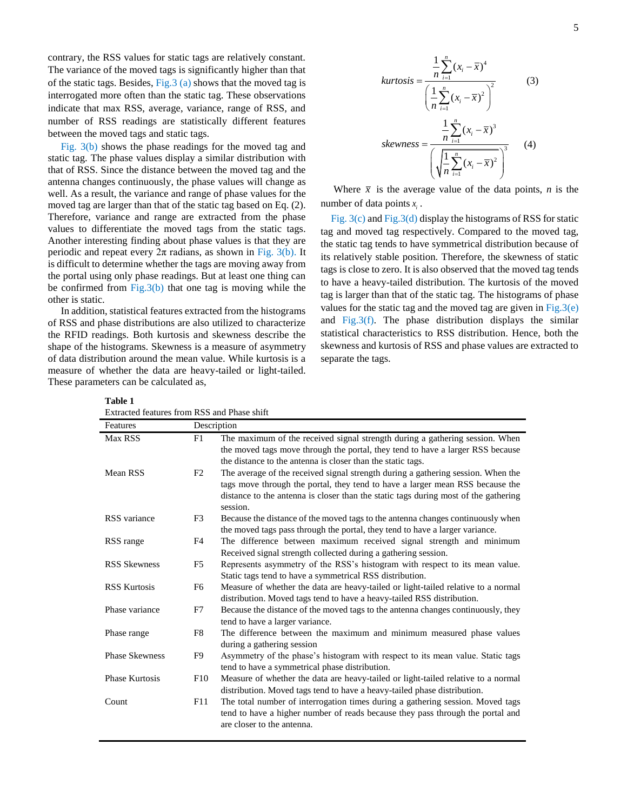contrary, the RSS values for static tags are relatively constant. The variance of the moved tags is significantly higher than that of the static tags. Besides, Fig.3 (a) shows that the moved tag is interrogated more often than the static tag. These observations indicate that max RSS, average, variance, range of RSS, and number of RSS readings are statistically different features between the moved tags and static tags.

 Fig. 3(b) shows the phase readings for the moved tag and static tag. The phase values display a similar distribution with that of RSS. Since the distance between the moved tag and the antenna changes continuously, the phase values will change as well. As a result, the variance and range of phase values for the moved tag are larger than that of the static tag based on Eq. (2). Therefore, variance and range are extracted from the phase values to differentiate the moved tags from the static tags. Another interesting finding about phase values is that they are periodic and repeat every  $2\pi$  radians, as shown in Fig. 3(b). It is difficult to determine whether the tags are moving away from the portal using only phase readings. But at least one thing can be confirmed from  $Fig.3(b)$  that one tag is moving while the other is static.

 In addition, statistical features extracted from the histograms of RSS and phase distributions are also utilized to characterize the RFID readings. Both kurtosis and skewness describe the shape of the histograms. Skewness is a measure of asymmetry of data distribution around the mean value. While kurtosis is a measure of whether the data are heavy-tailed or light-tailed. These parameters can be calculated as,

4  $\frac{1}{2}$ 2 1  $\frac{1}{2}\sum_{i=1}^{n}(x_i-\overline{x})$  $\frac{1}{2}\sum_{i=1}^{n}(x_i-\overline{x})$ *n*  $\sum_{i=1}^{N}$ *n*  $\sum_{i=1}$ <sup>( $\lambda_i$ </sup>  $kurtosis = \frac{\frac{1}{n} \sum_{i=1}^{n} (x_i - \overline{x})}{\frac{1}{n} \sum_{i=1}^{n} (x_i - \overline{x})}$  $\frac{1}{n} \sum_{i=1}^{n} (x_i - \overline{x})$  $\overline{a}$  $\overline{a}$  $\overline{a}$  $=\frac{n_{i=1}}{(1\frac{n}{\sum_{(n_{i}=1)}^{n}2})^{2}}$  $\left(\frac{1}{n}\sum_{i=1}^{n}(x_i-\overline{x})^2\right)$  $\sum$  $\sum$  (3) 3  $\frac{1}{3}$ 2 1  $\frac{1}{n} \sum_{i=1}^{n} (x_i - \overline{x})$  $\frac{1}{2}\sum_{i=1}^{n}(x_i-\overline{x})$ *n*  $\sum_{i=1}$ <sup>( $\lambda_i$ </sup> *n*  $\sum_{i=1}$ <sup>( $\lambda_i$ </sup>  $skewness = \frac{\frac{1}{n} \sum_{i=1}^{n} (x_i - \overline{x})}{\frac{1}{n} \sum_{i=1}^{n} (x_i - \overline{x})}$  $\frac{1}{n} \sum_{i=1}^{n} (x_i - \overline{x})$ = =  $\overline{a}$  $=\frac{n_{i=1}}{\left(\sqrt{\frac{1}{n}\sum_{i=1}^{n}(x_i-\bar{x})^2}\right)^3}$  $\left(\sqrt{\frac{1}{n}\sum_{i=1}^{n}(x_i-\overline{x})^2}\right)$  $\sum$  $\sum$ (4)

Where  $\bar{x}$  is the average value of the data points, *n* is the number of data points  $x_i$ .

 Fig. 3(c) and Fig.3(d) display the histograms of RSS for static tag and moved tag respectively. Compared to the moved tag, the static tag tends to have symmetrical distribution because of its relatively stable position. Therefore, the skewness of static tags is close to zero. It is also observed that the moved tag tends to have a heavy-tailed distribution. The kurtosis of the moved tag is larger than that of the static tag. The histograms of phase values for the static tag and the moved tag are given in  $Fig.3(e)$ and Fig.3(f). The phase distribution displays the similar statistical characteristics to RSS distribution. Hence, both the skewness and kurtosis of RSS and phase values are extracted to separate the tags.

**Table 1**

| Extracted features from RSS and Phase shift |                |                                                                                                                     |
|---------------------------------------------|----------------|---------------------------------------------------------------------------------------------------------------------|
| Features                                    |                | Description                                                                                                         |
| Max RSS                                     | F1             | The maximum of the received signal strength during a gathering session. When                                        |
|                                             |                | the moved tags move through the portal, they tend to have a larger RSS because                                      |
|                                             |                | the distance to the antenna is closer than the static tags.                                                         |
| Mean RSS                                    | F <sub>2</sub> | The average of the received signal strength during a gathering session. When the                                    |
|                                             |                | tags move through the portal, they tend to have a larger mean RSS because the                                       |
|                                             |                | distance to the antenna is closer than the static tags during most of the gathering<br>session.                     |
| RSS variance                                | F3             | Because the distance of the moved tags to the antenna changes continuously when                                     |
|                                             |                | the moved tags pass through the portal, they tend to have a larger variance.                                        |
| RSS range                                   | F4             | The difference between maximum received signal strength and minimum                                                 |
|                                             |                | Received signal strength collected during a gathering session.                                                      |
| <b>RSS Skewness</b>                         | F <sub>5</sub> | Represents asymmetry of the RSS's histogram with respect to its mean value.                                         |
|                                             |                | Static tags tend to have a symmetrical RSS distribution.                                                            |
| <b>RSS Kurtosis</b>                         | F <sub>6</sub> | Measure of whether the data are heavy-tailed or light-tailed relative to a normal                                   |
|                                             |                | distribution. Moved tags tend to have a heavy-tailed RSS distribution.                                              |
| Phase variance                              | F7             | Because the distance of the moved tags to the antenna changes continuously, they<br>tend to have a larger variance. |
| Phase range                                 | F8             | The difference between the maximum and minimum measured phase values                                                |
|                                             |                | during a gathering session                                                                                          |
| <b>Phase Skewness</b>                       | F9             | Asymmetry of the phase's histogram with respect to its mean value. Static tags                                      |
|                                             |                | tend to have a symmetrical phase distribution.                                                                      |
| <b>Phase Kurtosis</b>                       | F10            | Measure of whether the data are heavy-tailed or light-tailed relative to a normal                                   |
|                                             |                | distribution. Moved tags tend to have a heavy-tailed phase distribution.                                            |
| Count                                       | F11            | The total number of interrogation times during a gathering session. Moved tags                                      |
|                                             |                | tend to have a higher number of reads because they pass through the portal and                                      |
|                                             |                | are closer to the antenna.                                                                                          |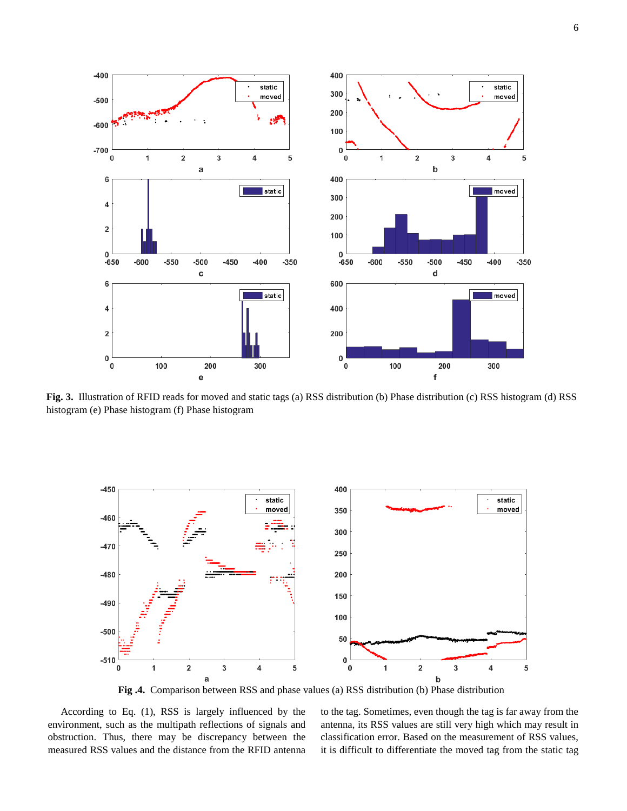

**Fig. 3.** Illustration of RFID reads for moved and static tags (a) RSS distribution (b) Phase distribution (c) RSS histogram (d) RSS histogram (e) Phase histogram (f) Phase histogram



**Fig .4.** Comparison between RSS and phase values (a) RSS distribution (b) Phase distribution

 According to Eq. (1), RSS is largely influenced by the environment, such as the multipath reflections of signals and obstruction. Thus, there may be discrepancy between the measured RSS values and the distance from the RFID antenna to the tag. Sometimes, even though the tag is far away from the antenna, its RSS values are still very high which may result in classification error. Based on the measurement of RSS values, it is difficult to differentiate the moved tag from the static tag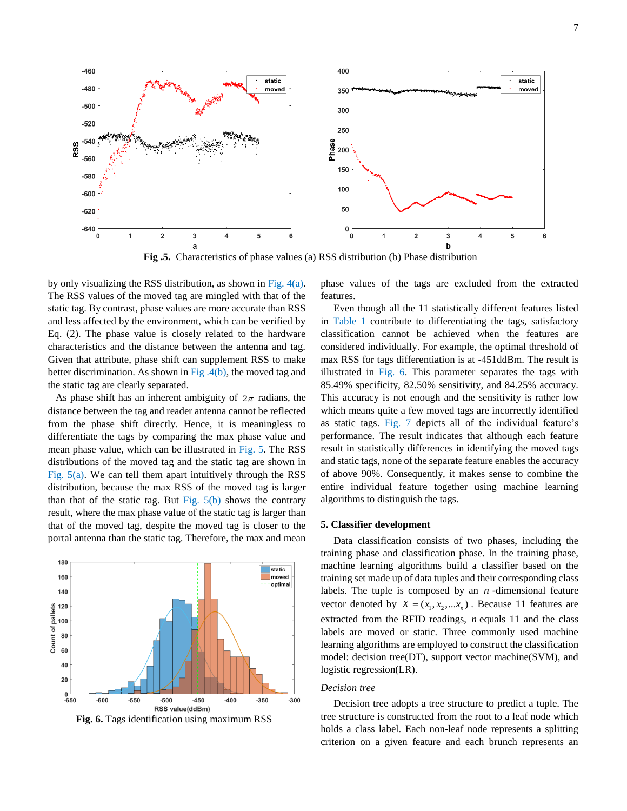

**Fig .5.** Characteristics of phase values (a) RSS distribution (b) Phase distribution

by only visualizing the RSS distribution, as shown in Fig. 4(a). The RSS values of the moved tag are mingled with that of the static tag. By contrast, phase values are more accurate than RSS and less affected by the environment, which can be verified by Eq. (2). The phase value is closely related to the hardware characteristics and the distance between the antenna and tag. Given that attribute, phase shift can supplement RSS to make better discrimination. As shown in Fig.  $4(b)$ , the moved tag and the static tag are clearly separated.

As phase shift has an inherent ambiguity of  $2\pi$  radians, the distance between the tag and reader antenna cannot be reflected from the phase shift directly. Hence, it is meaningless to differentiate the tags by comparing the max phase value and mean phase value, which can be illustrated in Fig. 5. The RSS distributions of the moved tag and the static tag are shown in Fig. 5(a). We can tell them apart intuitively through the RSS distribution, because the max RSS of the moved tag is larger than that of the static tag. But Fig.  $5(b)$  shows the contrary result, where the max phase value of the static tag is larger than that of the moved tag, despite the moved tag is closer to the portal antenna than the static tag. Therefore, the max and mean



**Fig. 6.** Tags identification using maximum RSS

phase values of the tags are excluded from the extracted features.

 Even though all the 11 statistically different features listed in Table 1 contribute to differentiating the tags, satisfactory classification cannot be achieved when the features are considered individually. For example, the optimal threshold of max RSS for tags differentiation is at -451ddBm. The result is illustrated in Fig. 6. This parameter separates the tags with 85.49% specificity, 82.50% sensitivity, and 84.25% accuracy. This accuracy is not enough and the sensitivity is rather low which means quite a few moved tags are incorrectly identified as static tags. Fig. 7 depicts all of the individual feature's performance. The result indicates that although each feature result in statistically differences in identifying the moved tags and static tags, none of the separate feature enables the accuracy of above 90%. Consequently, it makes sense to combine the entire individual feature together using machine learning algorithms to distinguish the tags.

### **5. Classifier development**

 Data classification consists of two phases, including the training phase and classification phase. In the training phase, machine learning algorithms build a classifier based on the training set made up of data tuples and their corresponding class labels. The tuple is composed by an *n* -dimensional feature vector denoted by  $X = (x_1, x_2, \dots, x_n)$ . Because 11 features are extracted from the RFID readings, *n* equals 11 and the class labels are moved or static. Three commonly used machine learning algorithms are employed to construct the classification model: decision tree(DT), support vector machine(SVM), and logistic regression(LR).

#### *Decision tree*

 Decision tree adopts a tree structure to predict a tuple. The tree structure is constructed from the root to a leaf node which holds a class label. Each non-leaf node represents a splitting criterion on a given feature and each brunch represents an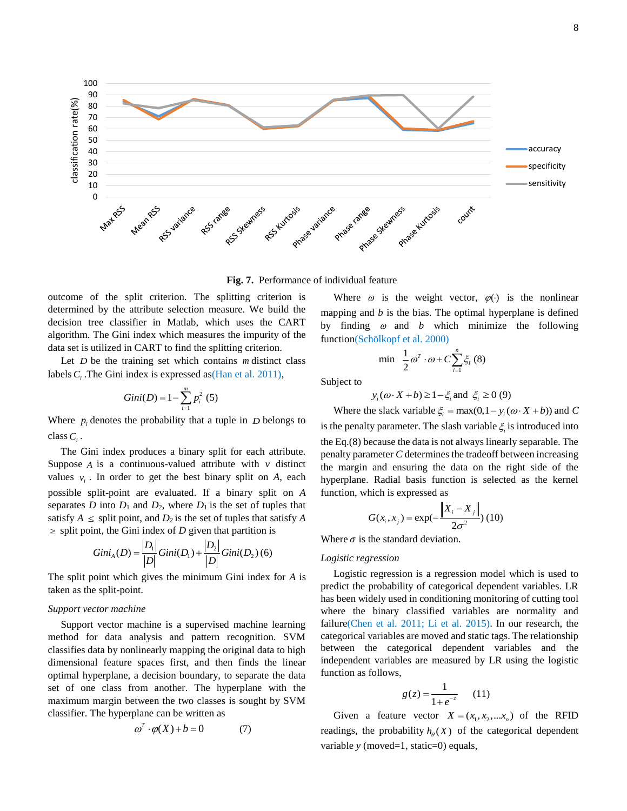

**Fig. 7.** Performance of individual feature

outcome of the split criterion. The splitting criterion is determined by the attribute selection measure. We build the decision tree classifier in Matlab, which uses the CART algorithm. The Gini index which measures the impurity of the data set is utilized in CART to find the splitting criterion.

Let *D* be the training set which contains *m* distinct class labels  $C<sub>i</sub>$ . The Gini index is expressed as (Han et al. 2011),

Gini(D) = 
$$
1 - \sum_{i=1}^{m} p_i^2
$$
 (5)

Where  $p_i$  denotes the probability that a tuple in  $D$  belongs to class *Ci* .

 The Gini index produces a binary split for each attribute. Suppose  $A$  is a continuous-valued attribute with  $v$  distinct values  $v_i$ . In order to get the best binary split on *A*, each possible split-point are evaluated. If a binary split on *A*  separates *D* into  $D_1$  and  $D_2$ , where  $D_1$  is the set of tuples that satisfy  $A \leq$  split point, and  $D_2$  is the set of tuples that satisfy *A* 

$$
\geq \text{ split point, the Gini index of } D \text{ given that partition is}
$$

$$
Gini_A(D) = \frac{|D_1|}{|D|} Gini(D_1) + \frac{|D_2|}{|D|} Gini(D_2) \tag{6}
$$

The split point which gives the minimum Gini index for *A* is taken as the split-point.

#### *Support vector machine*

 Support vector machine is a supervised machine learning method for data analysis and pattern recognition. SVM classifies data by nonlinearly mapping the original data to high dimensional feature spaces first, and then finds the linear optimal hyperplane, a decision boundary, to separate the data set of one class from another. The hyperplane with the maximum margin between the two classes is sought by SVM classifier. The hyperplane can be written as

$$
\omega^T \cdot \varphi(X) + b = 0 \tag{7}
$$

Where  $\omega$  is the weight vector,  $\varphi(\cdot)$  is the nonlinear mapping and *b* is the bias. The optimal hyperplane is defined by finding  $\omega$  and  $b$  which minimize the following function(Schölkopf et al. 2000)

$$
\min \frac{1}{2} \omega^T \cdot \omega + C \sum_{i=1}^n \xi_i \tag{8}
$$

Subject to

$$
y_i(\omega \cdot X + b) \ge 1 - \xi_i
$$
 and  $\xi_i \ge 0$  (9)

Where the slack variable  $\xi_i = \max(0, 1 - y_i(\omega \cdot X + b))$  and *C* is the penalty parameter. The slash variable  $\xi$  is introduced into the Eq.(8) because the data is not always linearly separable. The penalty parameter *C* determines the tradeoff between increasing the margin and ensuring the data on the right side of the hyperplane. Radial basis function is selected as the kernel function, which is expressed as

$$
G(x_i, x_j) = \exp(-\frac{\left\|X_i - X_j\right\|}{2\sigma^2})
$$
(10)

Where  $\sigma$  is the standard deviation.

## *Logistic regression*

 Logistic regression is a regression model which is used to predict the probability of categorical dependent variables. LR has been widely used in conditioning monitoring of cutting tool where the binary classified variables are normality and failure(Chen et al. 2011; Li et al. 2015). In our research, the categorical variables are moved and static tags. The relationship between the categorical dependent variables and the independent variables are measured by LR using the logistic function as follows,

$$
g(z) = \frac{1}{1 + e^{-z}} \qquad (11)
$$

Given a feature vector  $X = (x_1, x_2, \dots, x_n)$  of the RFID readings, the probability  $h_{\rho}(X)$  of the categorical dependent variable *y* (moved=1, static=0) equals,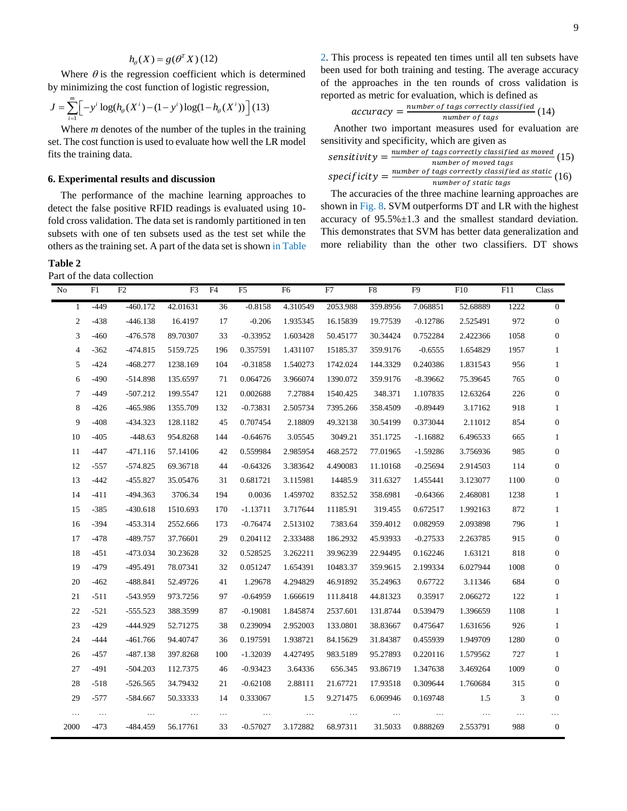$$
h_{\theta}(X) = g(\theta^T X)(12)
$$

Where  $\theta$  is the regression coefficient which is determined

by minimizing the cost function of logistic regression,  

$$
J = \sum_{i=1}^{m} \left[ -y^i \log(h_{\theta}(X^i) - (1 - y^i) \log(1 - h_{\theta}(X^i)) \right] (13)
$$

 Where *m* denotes of the number of the tuples in the training set. The cost function is used to evaluate how well the LR model fits the training data.

#### **6. Experimental results and discussion**

 The performance of the machine learning approaches to detect the false positive RFID readings is evaluated using 10 fold cross validation. The data set is randomly partitioned in ten subsets with one of ten subsets used as the test set while the others as the training set. A part of the data set is shown in Table

**Table 2** 

Part of the data collection

2. This process is repeated ten times until all ten subsets have been used for both training and testing. The average accuracy of the approaches in the ten rounds of cross validation is reported as metric for evaluation, which is defined as

$$
accuracy = \frac{number\ of\ tags\ correctly\ classified}{number\ of\ tags} (14)
$$

 Another two important measures used for evaluation are sensitivity and specificity, which are given as

sensitivity = 
$$
\frac{number\ of\ tags\ correctly\ classified\ as\ moved}{number\ of\ moved\ tags}
$$
 (15)  
specificity = 
$$
\frac{number\ of\ tags\ correctly\ classified\ as\ static}{number\ of\ static\ tags}
$$

The accuracies of the three machine learning approaches are shown in Fig. 8. SVM outperforms DT and LR with the highest accuracy of 95.5%±1.3 and the smallest standard deviation. This demonstrates that SVM has better data generalization and more reliability than the other two classifiers. DT shows

| No             | F1     | F2         | F3       | F <sub>4</sub> | F <sub>5</sub> | F <sub>6</sub> | F7       | F8       | F9         | F10      | F11  | Class            |
|----------------|--------|------------|----------|----------------|----------------|----------------|----------|----------|------------|----------|------|------------------|
| 1              | $-449$ | $-460.172$ | 42.01631 | 36             | $-0.8158$      | 4.310549       | 2053.988 | 359.8956 | 7.068851   | 52.68889 | 1222 | $\mathbf{0}$     |
| 2              | $-438$ | $-446.138$ | 16.4197  | 17             | $-0.206$       | 1.935345       | 16.15839 | 19.77539 | $-0.12786$ | 2.525491 | 972  | $\mathbf{0}$     |
| 3              | $-460$ | $-476.578$ | 89.70307 | 33             | $-0.33952$     | 1.603428       | 50.45177 | 30.34424 | 0.752284   | 2.422366 | 1058 | $\mathbf{0}$     |
| $\overline{4}$ | $-362$ | $-474.815$ | 5159.725 | 196            | 0.357591       | 1.431107       | 15185.37 | 359.9176 | $-0.6555$  | 1.654829 | 1957 | $\mathbf{1}$     |
| 5              | $-424$ | $-468.277$ | 1238.169 | 104            | $-0.31858$     | 1.540273       | 1742.024 | 144.3329 | 0.240386   | 1.831543 | 956  | 1                |
| 6              | $-490$ | $-514.898$ | 135.6597 | 71             | 0.064726       | 3.966074       | 1390.072 | 359.9176 | $-8.39662$ | 75.39645 | 765  | $\mathbf{0}$     |
| 7              | $-449$ | $-507.212$ | 199.5547 | 121            | 0.002688       | 7.27884        | 1540.425 | 348.371  | 1.107835   | 12.63264 | 226  | $\mathbf{0}$     |
| 8              | $-426$ | $-465.986$ | 1355.709 | 132            | $-0.73831$     | 2.505734       | 7395.266 | 358.4509 | $-0.89449$ | 3.17162  | 918  | $\mathbf{1}$     |
| 9              | $-408$ | $-434.323$ | 128.1182 | 45             | 0.707454       | 2.18809        | 49.32138 | 30.54199 | 0.373044   | 2.11012  | 854  | $\boldsymbol{0}$ |
| 10             | $-405$ | $-448.63$  | 954.8268 | 144            | $-0.64676$     | 3.05545        | 3049.21  | 351.1725 | $-1.16882$ | 6.496533 | 665  | $\mathbf{1}$     |
| 11             | $-447$ | $-471.116$ | 57.14106 | 42             | 0.559984       | 2.985954       | 468.2572 | 77.01965 | $-1.59286$ | 3.756936 | 985  | $\boldsymbol{0}$ |
| 12             | $-557$ | $-574.825$ | 69.36718 | 44             | $-0.64326$     | 3.383642       | 4.490083 | 11.10168 | $-0.25694$ | 2.914503 | 114  | $\boldsymbol{0}$ |
| 13             | $-442$ | $-455.827$ | 35.05476 | 31             | 0.681721       | 3.115981       | 14485.9  | 311.6327 | 1.455441   | 3.123077 | 1100 | $\boldsymbol{0}$ |
| 14             | $-411$ | $-494.363$ | 3706.34  | 194            | 0.0036         | 1.459702       | 8352.52  | 358.6981 | $-0.64366$ | 2.468081 | 1238 | $\mathbf{1}$     |
| 15             | $-385$ | $-430.618$ | 1510.693 | 170            | $-1.13711$     | 3.717644       | 11185.91 | 319.455  | 0.672517   | 1.992163 | 872  | $\mathbf{1}$     |
| 16             | $-394$ | $-453.314$ | 2552.666 | 173            | $-0.76474$     | 2.513102       | 7383.64  | 359.4012 | 0.082959   | 2.093898 | 796  | $\mathbf{1}$     |
| 17             | $-478$ | -489.757   | 37.76601 | 29             | 0.204112       | 2.333488       | 186.2932 | 45.93933 | $-0.27533$ | 2.263785 | 915  | $\boldsymbol{0}$ |
| 18             | $-451$ | $-473.034$ | 30.23628 | 32             | 0.528525       | 3.262211       | 39.96239 | 22.94495 | 0.162246   | 1.63121  | 818  | $\mathbf{0}$     |
| 19             | $-479$ | $-495.491$ | 78.07341 | 32             | 0.051247       | 1.654391       | 10483.37 | 359.9615 | 2.199334   | 6.027944 | 1008 | $\boldsymbol{0}$ |
| 20             | $-462$ | $-488.841$ | 52.49726 | 41             | 1.29678        | 4.294829       | 46.91892 | 35.24963 | 0.67722    | 3.11346  | 684  | $\boldsymbol{0}$ |
| 21             | $-511$ | -543.959   | 973.7256 | 97             | $-0.64959$     | 1.666619       | 111.8418 | 44.81323 | 0.35917    | 2.066272 | 122  | $\mathbf{1}$     |
| 22             | $-521$ | $-555.523$ | 388.3599 | 87             | $-0.19081$     | 1.845874       | 2537.601 | 131.8744 | 0.539479   | 1.396659 | 1108 | $\mathbf{1}$     |
| 23             | $-429$ | -444.929   | 52.71275 | 38             | 0.239094       | 2.952003       | 133.0801 | 38.83667 | 0.475647   | 1.631656 | 926  | 1                |
| 24             | $-444$ | $-461.766$ | 94.40747 | 36             | 0.197591       | 1.938721       | 84.15629 | 31.84387 | 0.455939   | 1.949709 | 1280 | $\boldsymbol{0}$ |
| 26             | $-457$ | $-487.138$ | 397.8268 | 100            | $-1.32039$     | 4.427495       | 983.5189 | 95.27893 | 0.220116   | 1.579562 | 727  | 1                |
| 27             | $-491$ | $-504.203$ | 112.7375 | 46             | $-0.93423$     | 3.64336        | 656.345  | 93.86719 | 1.347638   | 3.469264 | 1009 | $\boldsymbol{0}$ |
| 28             | $-518$ | $-526.565$ | 34.79432 | 21             | $-0.62108$     | 2.88111        | 21.67721 | 17.93518 | 0.309644   | 1.760684 | 315  | $\boldsymbol{0}$ |
| 29             | $-577$ | $-584.667$ | 50.33333 | 14             | 0.333067       | 1.5            | 9.271475 | 6.069946 | 0.169748   | 1.5      | 3    | $\mathbf{0}$     |
|                |        | $\ddots$   |          | .              | .              | $\ldots$       |          | $\cdots$ |            | $\ldots$ | .    | .                |
| 2000           | $-473$ | -484.459   | 56.17761 | 33             | $-0.57027$     | 3.172882       | 68.97311 | 31.5033  | 0.888269   | 2.553791 | 988  | $\boldsymbol{0}$ |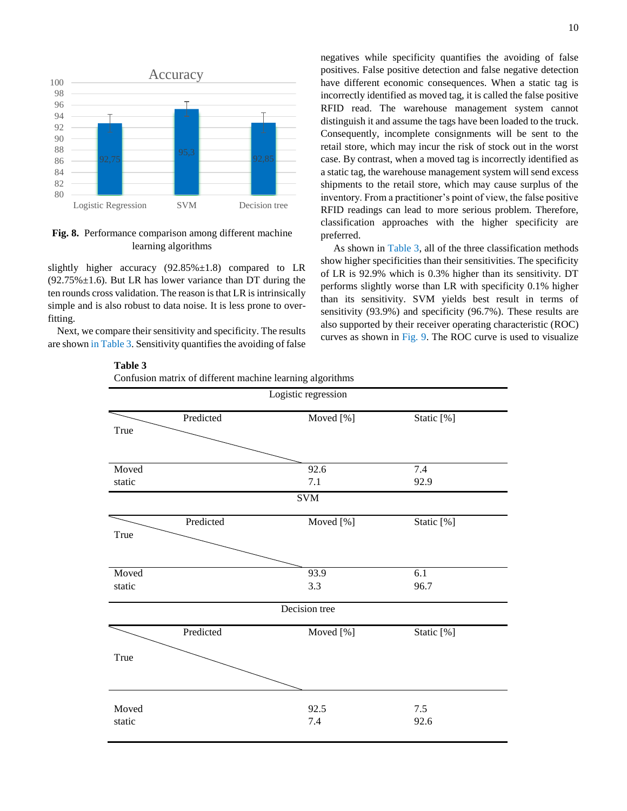

**Fig. 8.** Performance comparison among different machine learning algorithms

slightly higher accuracy  $(92.85\% \pm 1.8)$  compared to LR  $(92.75\% \pm 1.6)$ . But LR has lower variance than DT during the ten rounds cross validation. The reason is that LR is intrinsically simple and is also robust to data noise. It is less prone to overfitting.

Next, we compare their sensitivity and specificity. The results are shown in Table 3. Sensitivity quantifies the avoiding of false negatives while specificity quantifies the avoiding of false positives. False positive detection and false negative detection have different economic consequences. When a static tag is incorrectly identified as moved tag, it is called the false positive RFID read. The warehouse management system cannot distinguish it and assume the tags have been loaded to the truck. Consequently, incomplete consignments will be sent to the retail store, which may incur the risk of stock out in the worst case. By contrast, when a moved tag is incorrectly identified as a static tag, the warehouse management system will send excess shipments to the retail store, which may cause surplus of the inventory. From a practitioner's point of view, the false positive RFID readings can lead to more serious problem. Therefore, classification approaches with the higher specificity are preferred.

 As shown in Table 3, all of the three classification methods show higher specificities than their sensitivities. The specificity of LR is 92.9% which is 0.3% higher than its sensitivity. DT performs slightly worse than LR with specificity 0.1% higher than its sensitivity. SVM yields best result in terms of sensitivity (93.9%) and specificity (96.7%). These results are also supported by their receiver operating characteristic (ROC) curves as shown in Fig. 9. The ROC curve is used to visualize

| Logistic regression |           |                           |             |  |  |  |  |
|---------------------|-----------|---------------------------|-------------|--|--|--|--|
| True                | Predicted | Moved [%]                 | Static [%]  |  |  |  |  |
| Moved<br>static     |           | 92.6<br>7.1<br><b>SVM</b> | 7.4<br>92.9 |  |  |  |  |
| True                | Predicted | Moved [%]                 | Static [%]  |  |  |  |  |
| Moved<br>static     |           | 93.9<br>3.3               | 6.1<br>96.7 |  |  |  |  |
|                     |           | Decision tree             |             |  |  |  |  |
| True                | Predicted | Moved [%]                 | Static [%]  |  |  |  |  |
| Moved<br>static     |           | 92.5<br>7.4               | 7.5<br>92.6 |  |  |  |  |

**Table 3** 

Confusion matrix of different machine learning algorithms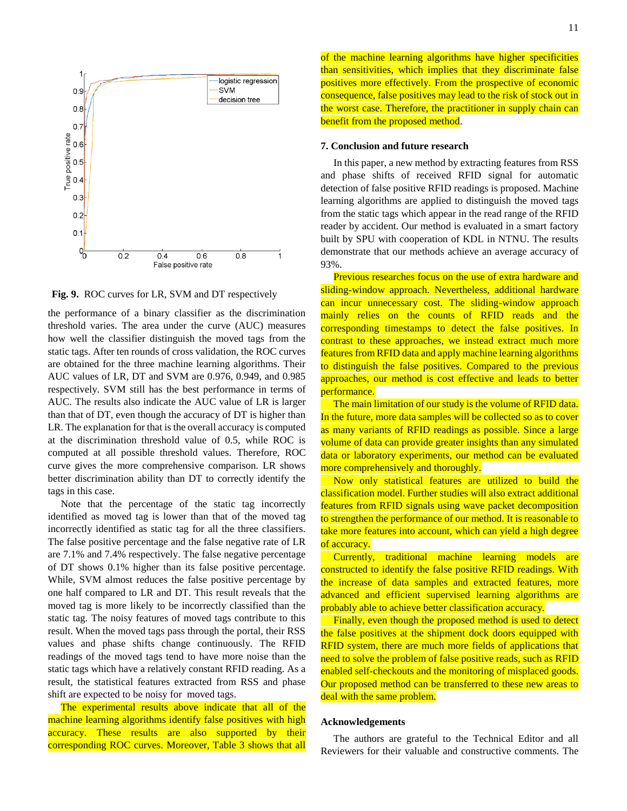

**Fig. 9.** ROC curves for LR, SVM and DT respectively

the performance of a binary classifier as the discrimination threshold varies. The area under the curve (AUC) measures how well the classifier distinguish the moved tags from the static tags. After ten rounds of cross validation, the ROC curves are obtained for the three machine learning algorithms. Their AUC values of LR, DT and SVM are 0.976, 0.949, and 0.985 respectively. SVM still has the best performance in terms of AUC. The results also indicate the AUC value of LR is larger than that of DT, even though the accuracy of DT is higher than LR. The explanation for that is the overall accuracy is computed at the discrimination threshold value of 0.5, while ROC is computed at all possible threshold values. Therefore, ROC curve gives the more comprehensive comparison. LR shows better discrimination ability than DT to correctly identify the tags in this case.

 Note that the percentage of the static tag incorrectly identified as moved tag is lower than that of the moved tag incorrectly identified as static tag for all the three classifiers. The false positive percentage and the false negative rate of LR are 7.1% and 7.4% respectively. The false negative percentage of DT shows 0.1% higher than its false positive percentage. While, SVM almost reduces the false positive percentage by one half compared to LR and DT. This result reveals that the moved tag is more likely to be incorrectly classified than the static tag. The noisy features of moved tags contribute to this result. When the moved tags pass through the portal, their RSS values and phase shifts change continuously. The RFID readings of the moved tags tend to have more noise than the static tags which have a relatively constant RFID reading. As a result, the statistical features extracted from RSS and phase shift are expected to be noisy for moved tags.

 The experimental results above indicate that all of the machine learning algorithms identify false positives with high accuracy. These results are also supported by their corresponding ROC curves. Moreover, Table 3 shows that all

#### **7. Conclusion and future research**

 In this paper, a new method by extracting features from RSS and phase shifts of received RFID signal for automatic detection of false positive RFID readings is proposed. Machine learning algorithms are applied to distinguish the moved tags from the static tags which appear in the read range of the RFID reader by accident. Our method is evaluated in a smart factory built by SPU with cooperation of KDL in NTNU. The results demonstrate that our methods achieve an average accuracy of 93%.

 Previous researches focus on the use of extra hardware and sliding-window approach. Nevertheless, additional hardware can incur unnecessary cost. The sliding-window approach mainly relies on the counts of RFID reads and the corresponding timestamps to detect the false positives. In contrast to these approaches, we instead extract much more features from RFID data and apply machine learning algorithms to distinguish the false positives. Compared to the previous approaches, our method is cost effective and leads to better performance.

 The main limitation of our study is the volume of RFID data. In the future, more data samples will be collected so as to cover as many variants of RFID readings as possible. Since a large volume of data can provide greater insights than any simulated data or laboratory experiments, our method can be evaluated more comprehensively and thoroughly.

 Now only statistical features are utilized to build the classification model. Further studies will also extract additional features from RFID signals using wave packet decomposition to strengthen the performance of our method. It is reasonable to take more features into account, which can yield a high degree of accuracy.

 Currently, traditional machine learning models are constructed to identify the false positive RFID readings. With the increase of data samples and extracted features, more advanced and efficient supervised learning algorithms are probably able to achieve better classification accuracy.

 Finally, even though the proposed method is used to detect the false positives at the shipment dock doors equipped with RFID system, there are much more fields of applications that need to solve the problem of false positive reads, such as RFID enabled self-checkouts and the monitoring of misplaced goods. Our proposed method can be transferred to these new areas to deal with the same problem.

#### **Acknowledgements**

 The authors are grateful to the Technical Editor and all Reviewers for their valuable and constructive comments. The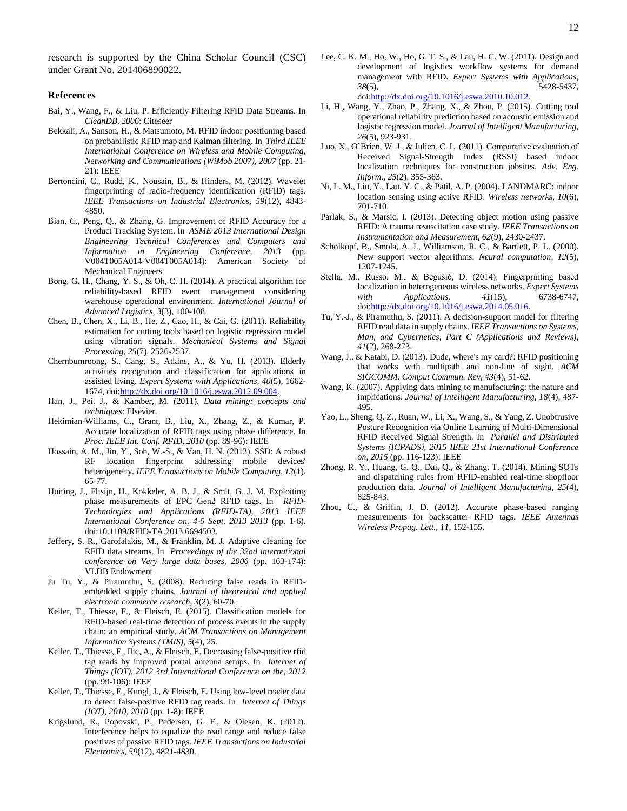research is supported by the China Scholar Council (CSC) under Grant No. 201406890022.

## **References**

- Bai, Y., Wang, F., & Liu, P. Efficiently Filtering RFID Data Streams. In *CleanDB, 2006*: Citeseer
- Bekkali, A., Sanson, H., & Matsumoto, M. RFID indoor positioning based on probabilistic RFID map and Kalman filtering. In *Third IEEE International Conference on Wireless and Mobile Computing, Networking and Communications (WiMob 2007), 2007* (pp. 21- 21): IEEE
- Bertoncini, C., Rudd, K., Nousain, B., & Hinders, M. (2012). Wavelet fingerprinting of radio-frequency identification (RFID) tags. *IEEE Transactions on Industrial Electronics, 59*(12), 4843- 4850.
- Bian, C., Peng, Q., & Zhang, G. Improvement of RFID Accuracy for a Product Tracking System. In *ASME 2013 International Design Engineering Technical Conferences and Computers and Information in Engineering Conference, 2013* (pp. V004T005A014-V004T005A014): American Society of Mechanical Engineers
- Bong, G. H., Chang, Y. S., & Oh, C. H. (2014). A practical algorithm for reliability-based RFID event management considering warehouse operational environment. *International Journal of Advanced Logistics, 3*(3), 100-108.
- Chen, B., Chen, X., Li, B., He, Z., Cao, H., & Cai, G. (2011). Reliability estimation for cutting tools based on logistic regression model using vibration signals. *Mechanical Systems and Signal Processing, 25*(7), 2526-2537.
- Chernbumroong, S., Cang, S., Atkins, A., & Yu, H. (2013). Elderly activities recognition and classification for applications in assisted living. *Expert Systems with Applications, 40*(5), 1662- 1674, doi[:http://dx.doi.org/10.1016/j.eswa.2012.09.004.](http://dx.doi.org/10.1016/j.eswa.2012.09.004)
- Han, J., Pei, J., & Kamber, M. (2011). *Data mining: concepts and techniques*: Elsevier.
- Hekimian-Williams, C., Grant, B., Liu, X., Zhang, Z., & Kumar, P. Accurate localization of RFID tags using phase difference. In *Proc. IEEE Int. Conf. RFID, 2010* (pp. 89-96): IEEE
- Hossain, A. M., Jin, Y., Soh, W.-S., & Van, H. N. (2013). SSD: A robust RF location fingerprint addressing mobile devices' heterogeneity. *IEEE Transactions on Mobile Computing, 12*(1), 65-77.
- Huiting, J., Flisijn, H., Kokkeler, A. B. J., & Smit, G. J. M. Exploiting phase measurements of EPC Gen2 RFID tags. In *RFID-Technologies and Applications (RFID-TA), 2013 IEEE International Conference on, 4-5 Sept. 2013 2013* (pp. 1-6). doi:10.1109/RFID-TA.2013.6694503.
- Jeffery, S. R., Garofalakis, M., & Franklin, M. J. Adaptive cleaning for RFID data streams. In *Proceedings of the 32nd international conference on Very large data bases, 2006* (pp. 163-174): VLDB Endowment
- Ju Tu, Y., & Piramuthu, S. (2008). Reducing false reads in RFIDembedded supply chains. *Journal of theoretical and applied electronic commerce research, 3*(2), 60-70.
- Keller, T., Thiesse, F., & Fleisch, E. (2015). Classification models for RFID-based real-time detection of process events in the supply chain: an empirical study. *ACM Transactions on Management Information Systems (TMIS), 5*(4), 25.
- Keller, T., Thiesse, F., Ilic, A., & Fleisch, E. Decreasing false-positive rfid tag reads by improved portal antenna setups. In *Internet of Things (IOT), 2012 3rd International Conference on the, 2012* (pp. 99-106): IEEE
- Keller, T., Thiesse, F., Kungl, J., & Fleisch, E. Using low-level reader data to detect false-positive RFID tag reads. In *Internet of Things (IOT), 2010, 2010* (pp. 1-8): IEEE
- Krigslund, R., Popovski, P., Pedersen, G. F., & Olesen, K. (2012). Interference helps to equalize the read range and reduce false positives of passive RFID tags. *IEEE Transactions on Industrial Electronics, 59*(12), 4821-4830.
- Lee, C. K. M., Ho, W., Ho, G. T. S., & Lau, H. C. W. (2011). Design and development of logistics workflow systems for demand management with RFID. *Expert Systems with Applications, 38*(5), 5428-5437, do[i:http://dx.doi.org/10.1016/j.eswa.2010.10.012.](http://dx.doi.org/10.1016/j.eswa.2010.10.012)
- Li, H., Wang, Y., Zhao, P., Zhang, X., & Zhou, P. (2015). Cutting tool operational reliability prediction based on acoustic emission and logistic regression model. *Journal of Intelligent Manufacturing, 26*(5), 923-931.
- Luo, X., O'Brien, W. J., & Julien, C. L. (2011). Comparative evaluation of Received Signal-Strength Index (RSSI) based indoor localization techniques for construction jobsites. *Adv. Eng. Inform., 25*(2), 355-363.
- Ni, L. M., Liu, Y., Lau, Y. C., & Patil, A. P. (2004). LANDMARC: indoor location sensing using active RFID. *Wireless networks, 10*(6), 701-710.
- Parlak, S., & Marsic, I. (2013). Detecting object motion using passive RFID: A trauma resuscitation case study. *IEEE Transactions on Instrumentation and Measurement, 62*(9), 2430-2437.
- Schölkopf, B., Smola, A. J., Williamson, R. C., & Bartlett, P. L. (2000). New support vector algorithms. *Neural computation, 12*(5), 1207-1245.
- Stella, M., Russo, M., & Begušić, D. (2014). Fingerprinting based localization in heterogeneous wireless networks. *Expert Systems with Applications, 41*(15), 6738-6747, do[i:http://dx.doi.org/10.1016/j.eswa.2014.05.016.](http://dx.doi.org/10.1016/j.eswa.2014.05.016)
- Tu, Y.-J., & Piramuthu, S. (2011). A decision-support model for filtering RFID read data in supply chains. *IEEE Transactions on Systems, Man, and Cybernetics, Part C (Applications and Reviews), 41*(2), 268-273.
- Wang, J., & Katabi, D. (2013). Dude, where's my card?: RFID positioning that works with multipath and non-line of sight. *ACM SIGCOMM. Comput Commun. Rev, 43*(4), 51-62.
- Wang, K. (2007). Applying data mining to manufacturing: the nature and implications. *Journal of Intelligent Manufacturing, 18*(4), 487- 495.
- Yao, L., Sheng, Q. Z., Ruan, W., Li, X., Wang, S., & Yang, Z. Unobtrusive Posture Recognition via Online Learning of Multi-Dimensional RFID Received Signal Strength. In *Parallel and Distributed Systems (ICPADS), 2015 IEEE 21st International Conference on, 2015* (pp. 116-123): IEEE
- Zhong, R. Y., Huang, G. Q., Dai, Q., & Zhang, T. (2014). Mining SOTs and dispatching rules from RFID-enabled real-time shopfloor production data. *Journal of Intelligent Manufacturing, 25*(4), 825-843.
- Zhou, C., & Griffin, J. D. (2012). Accurate phase-based ranging measurements for backscatter RFID tags. *IEEE Antennas Wireless Propag. Lett., 11*, 152-155.